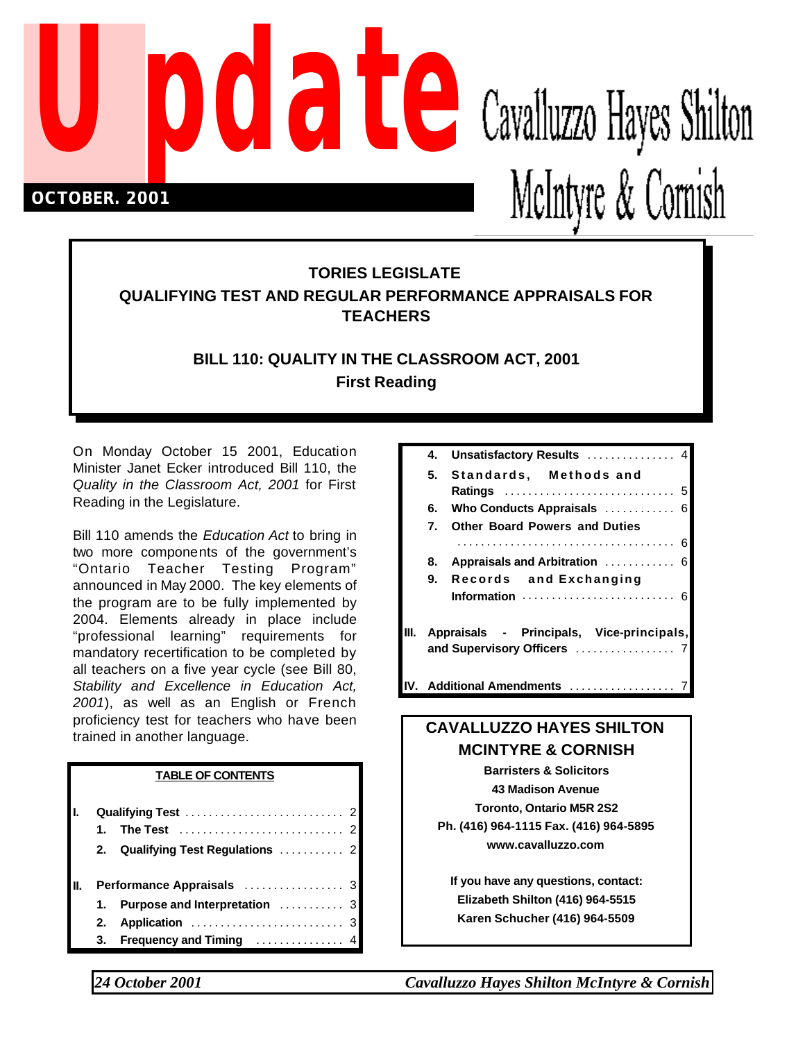

# **TORIES LEGISLATE QUALIFYING TEST AND REGULAR PERFORMANCE APPRAISALS FOR TEACHERS**

**BILL 110: QUALITY IN THE CLASSROOM ACT, 2001 First Reading**

On Monday October 15 2001, Education Minister Janet Ecker introduced Bill 110, the *Quality in the Classroom Act, 2001* for First Reading in the Legislature.

Bill 110 amends the *Education Act* to bring in two more components of the government's "Ontario Teacher Testing Program" announced in May 2000. The key elements of the program are to be fully implemented by 2004. Elements already in place include "professional learning" requirements for mandatory recertification to be completed by all teachers on a five year cycle (see Bill 80, *Stability and Excellence in Education Act, 2001*), as well as an English or French proficiency test for teachers who have been trained in another language.

#### **TABLE OF CONTENTS**

| ı. |    |                                  |  |  |
|----|----|----------------------------------|--|--|
|    |    |                                  |  |  |
|    | 2. |                                  |  |  |
| Ш. |    |                                  |  |  |
|    |    | 1. Purpose and Interpretation  3 |  |  |
|    | 2. |                                  |  |  |
|    |    | 3. Frequency and Timing  4       |  |  |

|    | 4. Unsatisfactory Results  4                   |
|----|------------------------------------------------|
|    | 5. Standards, Methods and                      |
| 6. | Who Conducts Appraisals  6                     |
|    | 7. Other Board Powers and Duties               |
|    |                                                |
| 8. |                                                |
| 9. | Records and Exchanging                         |
|    | III. Appraisals - Principals, Vice-principals, |
|    | IV. Additional Amendments  7                   |

## **CAVALLUZZO HAYES SHILTON MCINTYRE & CORNISH**

**Barristers & Solicitors 43 Madison Avenue Toronto, Ontario M5R 2S2 Ph. (416) 964-1115 Fax. (416) 964-5895 www.cavalluzzo.com**

**If you have any questions, contact: Elizabeth Shilton (416) 964-5515 Karen Schucher (416) 964-5509**

*24 October 2001 Cavalluzzo Hayes Shilton McIntyre & Cornish*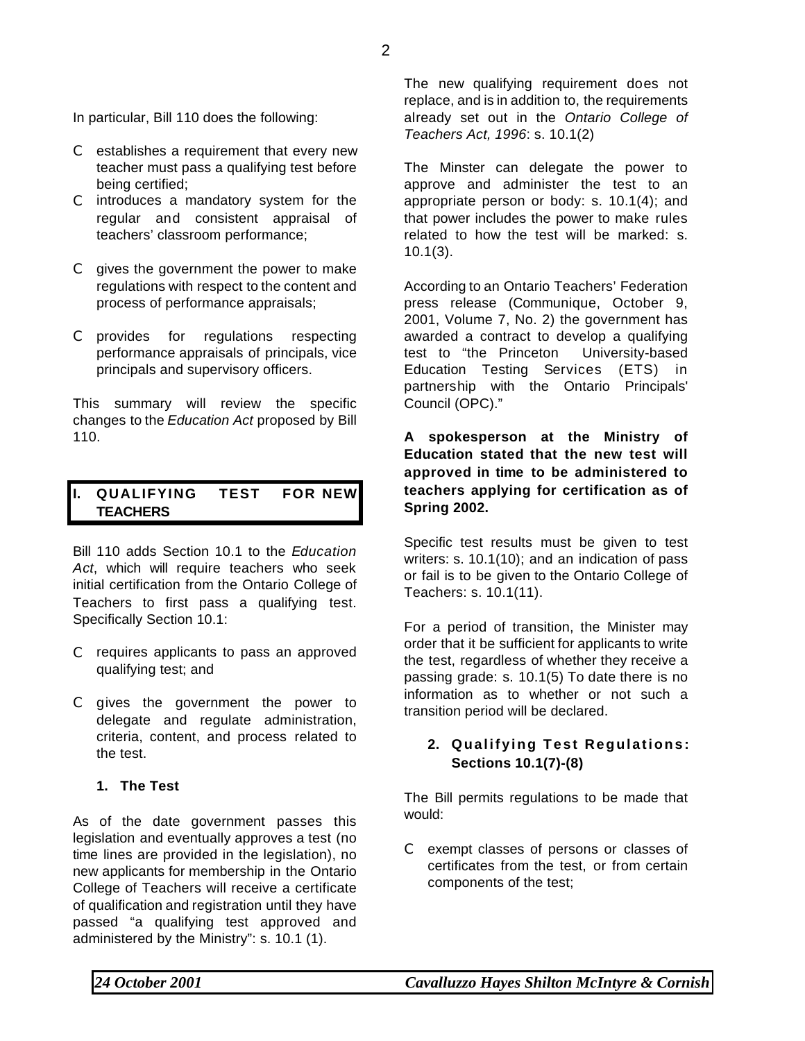In particular, Bill 110 does the following:

- C establishes a requirement that every new teacher must pass a qualifying test before being certified;
- C introduces a mandatory system for the regular and consistent appraisal of teachers' classroom performance;
- C gives the government the power to make regulations with respect to the content and process of performance appraisals;
- C provides for regulations respecting performance appraisals of principals, vice principals and supervisory officers.

This summary will review the specific changes to the *Education Act* proposed by Bill 110.

### **I. QUALIFYING TEST FOR NEW TEACHERS**

Bill 110 adds Section 10.1 to the *Education Act*, which will require teachers who seek initial certification from the Ontario College of Teachers to first pass a qualifying test. Specifically Section 10.1:

- C requires applicants to pass an approved qualifying test; and
- C gives the government the power to delegate and regulate administration, criteria, content, and process related to the test.

#### **1. The Test**

As of the date government passes this legislation and eventually approves a test (no time lines are provided in the legislation), no new applicants for membership in the Ontario College of Teachers will receive a certificate of qualification and registration until they have passed "a qualifying test approved and administered by the Ministry": s. 10.1 (1).

The new qualifying requirement does not replace, and is in addition to, the requirements already set out in the *Ontario College of Teachers Act, 1996*: s. 10.1(2)

The Minster can delegate the power to approve and administer the test to an appropriate person or body: s. 10.1(4); and that power includes the power to make rules related to how the test will be marked: s. 10.1(3).

According to an Ontario Teachers' Federation press release (Communique, October 9, 2001, Volume 7, No. 2) the government has awarded a contract to develop a qualifying test to "the Princeton University-based Education Testing Services (ETS) in partnership with the Ontario Principals' Council (OPC)."

**A spokesperson at the Ministry of Education stated that the new test will approved in time to be administered to teachers applying for certification as of Spring 2002.** 

Specific test results must be given to test writers: s. 10.1(10); and an indication of pass or fail is to be given to the Ontario College of Teachers: s. 10.1(11).

For a period of transition, the Minister may order that it be sufficient for applicants to write the test, regardless of whether they receive a passing grade: s. 10.1(5) To date there is no information as to whether or not such a transition period will be declared.

### **2. Qualifying Test Regulations: Sections 10.1(7)-(8)**

The Bill permits regulations to be made that would:

C exempt classes of persons or classes of certificates from the test, or from certain components of the test;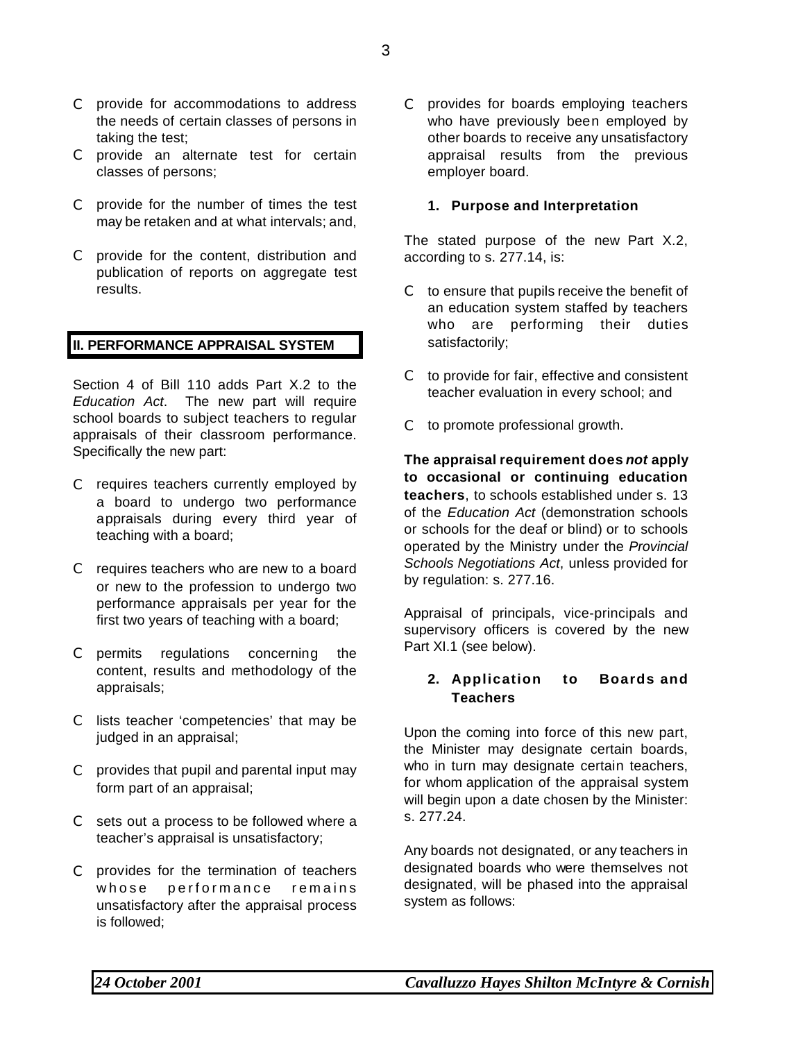- C provide for accommodations to address the needs of certain classes of persons in taking the test;
- C provide an alternate test for certain classes of persons;
- C provide for the number of times the test may be retaken and at what intervals; and,
- C provide for the content, distribution and publication of reports on aggregate test results.

#### **II. PERFORMANCE APPRAISAL SYSTEM**

Section 4 of Bill 110 adds Part X.2 to the *Education Act*. The new part will require school boards to subject teachers to regular appraisals of their classroom performance. Specifically the new part:

- C requires teachers currently employed by a board to undergo two performance appraisals during every third year of teaching with a board;
- C requires teachers who are new to a board or new to the profession to undergo two performance appraisals per year for the first two years of teaching with a board;
- C permits regulations concerning the content, results and methodology of the appraisals;
- C lists teacher 'competencies' that may be judged in an appraisal;
- C provides that pupil and parental input may form part of an appraisal;
- C sets out a process to be followed where a teacher's appraisal is unsatisfactory;
- C provides for the termination of teachers whose performance remains unsatisfactory after the appraisal process is followed;

C provides for boards employing teachers who have previously been employed by other boards to receive any unsatisfactory appraisal results from the previous employer board.

#### **1. Purpose and Interpretation**

The stated purpose of the new Part X.2, according to s. 277.14, is:

- C to ensure that pupils receive the benefit of an education system staffed by teachers who are performing their duties satisfactorily;
- C to provide for fair, effective and consistent teacher evaluation in every school; and
- C to promote professional growth.

**The appraisal requirement does** *not* **apply to occasional or continuing education teachers**, to schools established under s. 13 of the *Education Act* (demonstration schools or schools for the deaf or blind) or to schools operated by the Ministry under the *Provincial Schools Negotiations Act*, unless provided for by regulation: s. 277.16.

Appraisal of principals, vice-principals and supervisory officers is covered by the new Part XI.1 (see below).

#### **2. Application to Boards and Teachers**

Upon the coming into force of this new part, the Minister may designate certain boards, who in turn may designate certain teachers, for whom application of the appraisal system will begin upon a date chosen by the Minister: s. 277.24.

Any boards not designated, or any teachers in designated boards who were themselves not designated, will be phased into the appraisal system as follows: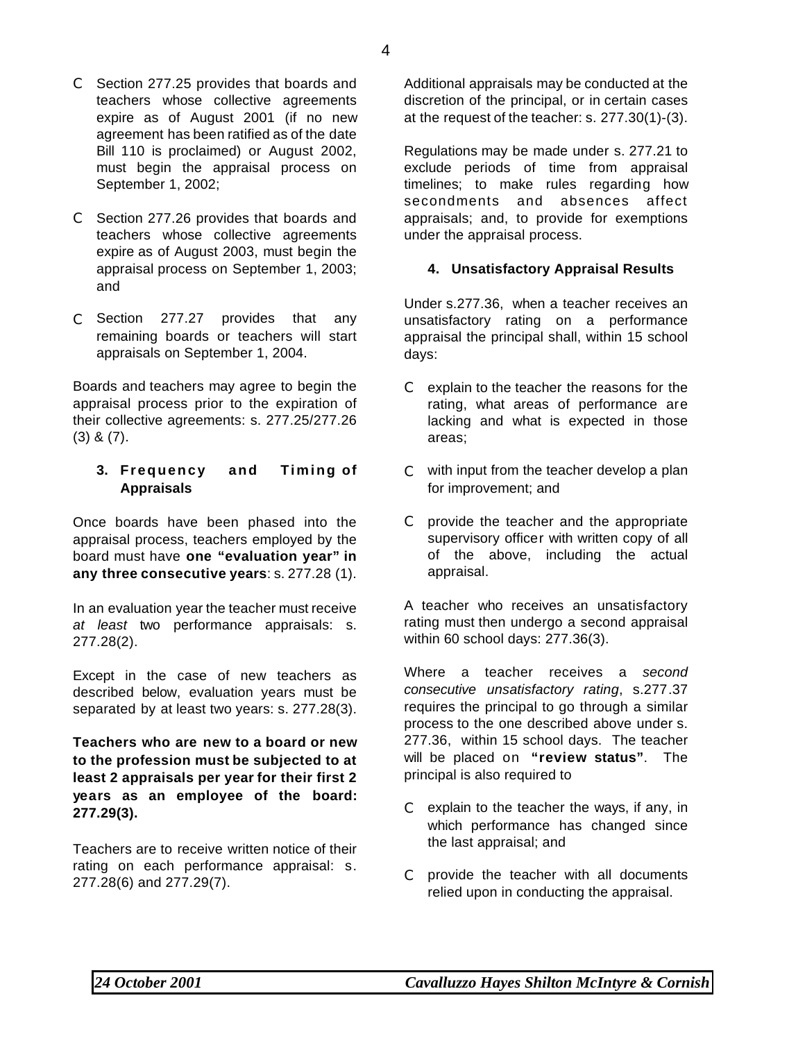- C Section 277.25 provides that boards and teachers whose collective agreements expire as of August 2001 (if no new agreement has been ratified as of the date Bill 110 is proclaimed) or August 2002, must begin the appraisal process on September 1, 2002;
- C Section 277.26 provides that boards and teachers whose collective agreements expire as of August 2003, must begin the appraisal process on September 1, 2003; and
- C Section 277.27 provides that any remaining boards or teachers will start appraisals on September 1, 2004.

Boards and teachers may agree to begin the appraisal process prior to the expiration of their collective agreements: s. 277.25/277.26 (3) & (7).

### **3. Frequency and Timing of Appraisals**

Once boards have been phased into the appraisal process, teachers employed by the board must have **one "evaluation year" in any three consecutive years**: s. 277.28 (1).

In an evaluation year the teacher must receive *at least* two performance appraisals: s. 277.28(2).

Except in the case of new teachers as described below, evaluation years must be separated by at least two years: s. 277.28(3).

**Teachers who are new to a board or new to the profession must be subjected to at least 2 appraisals per year for their first 2 years as an employee of the board: 277.29(3).** 

Teachers are to receive written notice of their rating on each performance appraisal: s. 277.28(6) and 277.29(7).

Additional appraisals may be conducted at the discretion of the principal, or in certain cases at the request of the teacher: s. 277.30(1)-(3).

Regulations may be made under s. 277.21 to exclude periods of time from appraisal timelines; to make rules regarding how secondments and absences affect appraisals; and, to provide for exemptions under the appraisal process.

#### **4. Unsatisfactory Appraisal Results**

Under s.277.36, when a teacher receives an unsatisfactory rating on a performance appraisal the principal shall, within 15 school days:

- C explain to the teacher the reasons for the rating, what areas of performance are lacking and what is expected in those areas;
- C with input from the teacher develop a plan for improvement; and
- C provide the teacher and the appropriate supervisory officer with written copy of all of the above, including the actual appraisal.

A teacher who receives an unsatisfactory rating must then undergo a second appraisal within 60 school days: 277.36(3).

Where a teacher receives a *second consecutive unsatisfactory rating*, s.277.37 requires the principal to go through a similar process to the one described above under s. 277.36, within 15 school days. The teacher will be placed on **"review status"**. The principal is also required to

- C explain to the teacher the ways, if any, in which performance has changed since the last appraisal; and
- C provide the teacher with all documents relied upon in conducting the appraisal.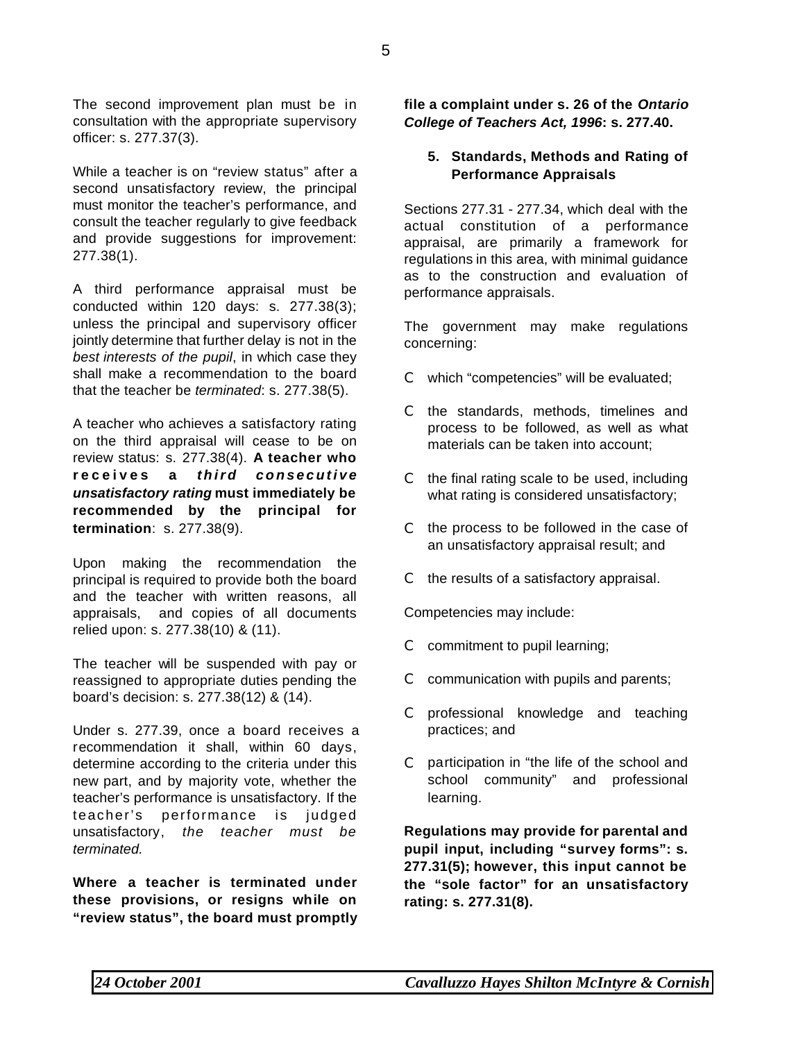The second improvement plan must be in consultation with the appropriate supervisory officer: s. 277.37(3).

While a teacher is on "review status" after a second unsatisfactory review, the principal must monitor the teacher's performance, and consult the teacher regularly to give feedback and provide suggestions for improvement: 277.38(1).

A third performance appraisal must be conducted within 120 days: s. 277.38(3); unless the principal and supervisory officer jointly determine that further delay is not in the *best interests of the pupil*, in which case they shall make a recommendation to the board that the teacher be *terminated*: s. 277.38(5).

A teacher who achieves a satisfactory rating on the third appraisal will cease to be on review status: s. 277.38(4). **A teacher who receives a** *third consecutive unsatisfactory rating* **must immediately be recommended by the principal for termination**: s. 277.38(9).

Upon making the recommendation the principal is required to provide both the board and the teacher with written reasons, all appraisals, and copies of all documents relied upon: s. 277.38(10) & (11).

The teacher will be suspended with pay or reassigned to appropriate duties pending the board's decision: s. 277.38(12) & (14).

Under s. 277.39, once a board receives a recommendation it shall, within 60 days, determine according to the criteria under this new part, and by majority vote, whether the teacher's performance is unsatisfactory. If the teacher's performance is judged unsatisfactory, *the teacher must be terminated.* 

**Where a teacher is terminated under these provisions, or resigns while on "review status", the board must promptly** **file a complaint under s. 26 of the** *Ontario College of Teachers Act, 1996***: s. 277.40.**

#### **5. Standards, Methods and Rating of Performance Appraisals**

Sections 277.31 - 277.34, which deal with the actual constitution of a performance appraisal, are primarily a framework for regulations in this area, with minimal guidance as to the construction and evaluation of performance appraisals.

The government may make regulations concerning:

- C which "competencies" will be evaluated;
- C the standards, methods, timelines and process to be followed, as well as what materials can be taken into account;
- C the final rating scale to be used, including what rating is considered unsatisfactory;
- C the process to be followed in the case of an unsatisfactory appraisal result; and
- C the results of a satisfactory appraisal.

Competencies may include:

- C commitment to pupil learning;
- C communication with pupils and parents;
- C professional knowledge and teaching practices; and
- C participation in "the life of the school and school community" and professional learning.

**Regulations may provide for parental and pupil input, including "survey forms": s. 277.31(5); however, this input cannot be the "sole factor" for an unsatisfactory rating: s. 277.31(8).**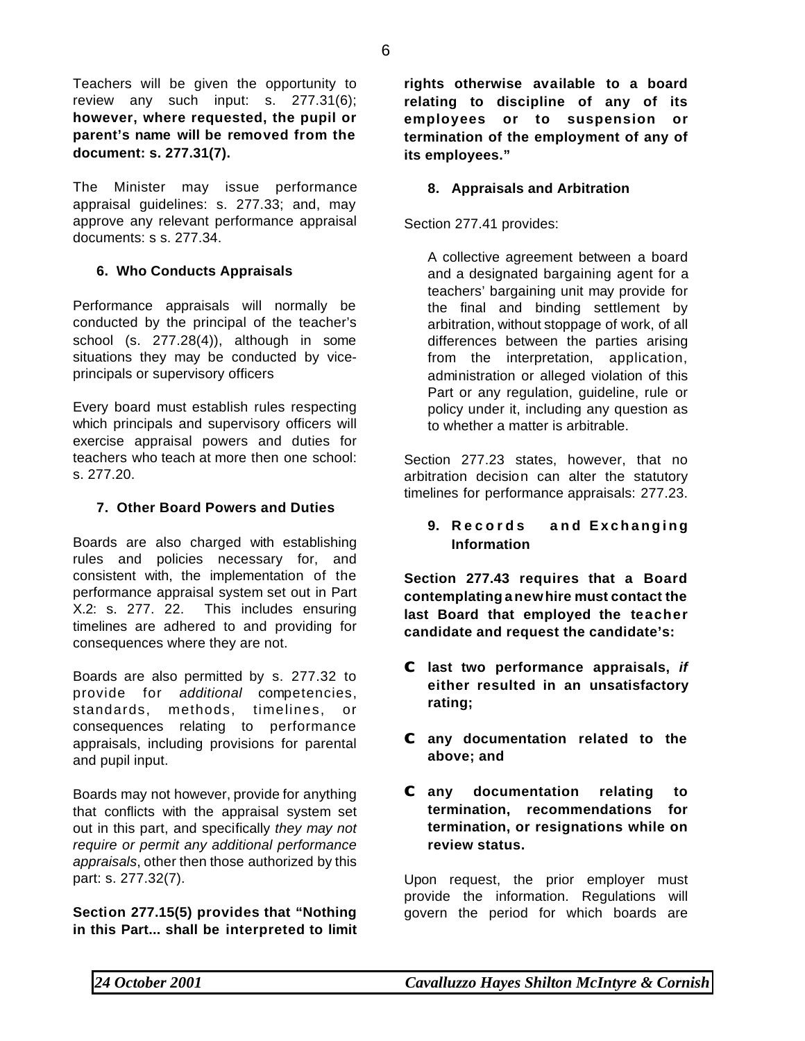Teachers will be given the opportunity to review any such input: s. 277.31(6); **however, where requested, the pupil or parent's name will be removed from the document: s. 277.31(7).** 

The Minister may issue performance appraisal guidelines: s. 277.33; and, may approve any relevant performance appraisal documents: s s. 277.34.

### **6. Who Conducts Appraisals**

Performance appraisals will normally be conducted by the principal of the teacher's school (s. 277.28(4)), although in some situations they may be conducted by viceprincipals or supervisory officers

Every board must establish rules respecting which principals and supervisory officers will exercise appraisal powers and duties for teachers who teach at more then one school: s. 277.20.

#### **7. Other Board Powers and Duties**

Boards are also charged with establishing rules and policies necessary for, and consistent with, the implementation of the performance appraisal system set out in Part X.2: s. 277. 22. This includes ensuring timelines are adhered to and providing for consequences where they are not.

Boards are also permitted by s. 277.32 to provide for *additional* competencies, standards, methods, timelines, or consequences relating to performance appraisals, including provisions for parental and pupil input.

Boards may not however, provide for anything that conflicts with the appraisal system set out in this part, and specifically *they may not require or permit any additional performance appraisals*, other then those authorized by this part: s. 277.32(7).

**Section 277.15(5) provides that "Nothing in this Part... shall be interpreted to limit**

**rights otherwise available to a board relating to discipline of any of its employees or to suspension or termination of the employment of any of its employees."**

#### **8. Appraisals and Arbitration**

Section 277.41 provides:

A collective agreement between a board and a designated bargaining agent for a teachers' bargaining unit may provide for the final and binding settlement by arbitration, without stoppage of work, of all differences between the parties arising from the interpretation, application, administration or alleged violation of this Part or any regulation, guideline, rule or policy under it, including any question as to whether a matter is arbitrable.

Section 277.23 states, however, that no arbitration decision can alter the statutory timelines for performance appraisals: 277.23.

**9. Records and Exchanging Information**

**Section 277.43 requires that a Board contemplating a newhire must contact the last Board that employed the teacher candidate and request the candidate's:**

- **C last two performance appraisals,** *if* **either resulted in an unsatisfactory rating;**
- **C any documentation related to the above; and**
- **C any documentation relating to termination, recommendations for termination, or resignations while on review status.**

Upon request, the prior employer must provide the information. Regulations will govern the period for which boards are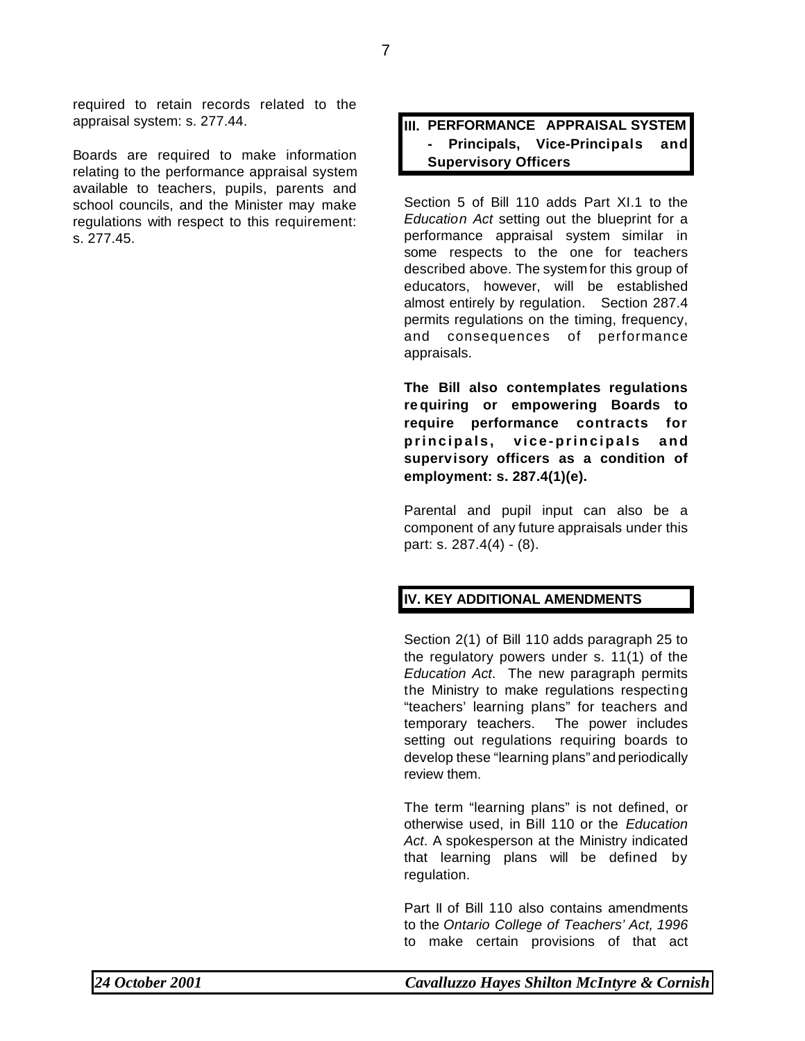required to retain records related to the appraisal system: s. 277.44.

Boards are required to make information relating to the performance appraisal system available to teachers, pupils, parents and school councils, and the Minister may make regulations with respect to this requirement: s. 277.45.

#### **III. PERFORMANCE APPRAISAL SYSTEM - Principals, Vice-Principals and Supervisory Officers**

Section 5 of Bill 110 adds Part XI.1 to the *Education Act* setting out the blueprint for a performance appraisal system similar in some respects to the one for teachers described above. The system for this group of educators, however, will be established almost entirely by regulation. Section 287.4 permits regulations on the timing, frequency, and consequences of performance appraisals.

**The Bill also contemplates regulations re quiring or empowering Boards to require performance contracts for principals, vice-principals and supervisory officers as a condition of employment: s. 287.4(1)(e).**

Parental and pupil input can also be a component of any future appraisals under this part: s. 287.4(4) - (8).

#### **IV. KEY ADDITIONAL AMENDMENTS**

Section 2(1) of Bill 110 adds paragraph 25 to the regulatory powers under s. 11(1) of the *Education Act*. The new paragraph permits the Ministry to make regulations respecting "teachers' learning plans" for teachers and temporary teachers. The power includes setting out regulations requiring boards to develop these "learning plans" and periodically review them.

The term "learning plans" is not defined, or otherwise used, in Bill 110 or the *Education Act*. A spokesperson at the Ministry indicated that learning plans will be defined by regulation.

Part II of Bill 110 also contains amendments to the *Ontario College of Teachers' Act, 1996* to make certain provisions of that act

*24 October 2001 Cavalluzzo Hayes Shilton McIntyre & Cornish*